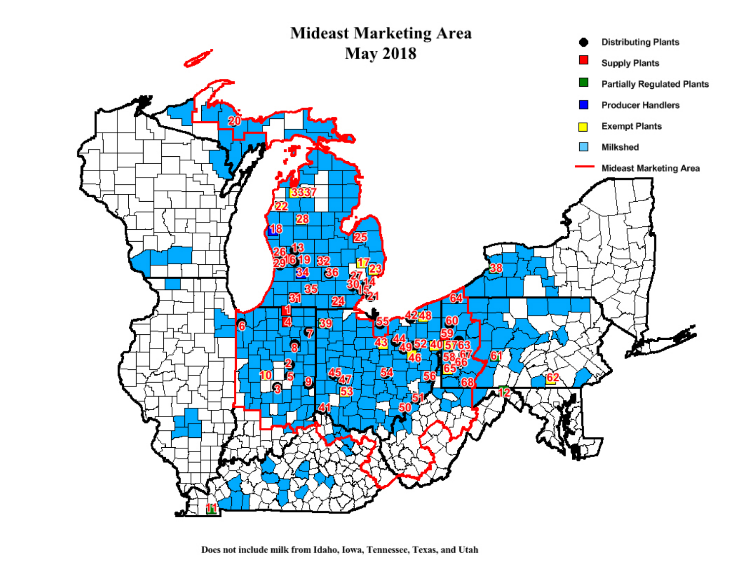

Does not include milk from Idaho, Iowa, Tennessee, Texas, and Utah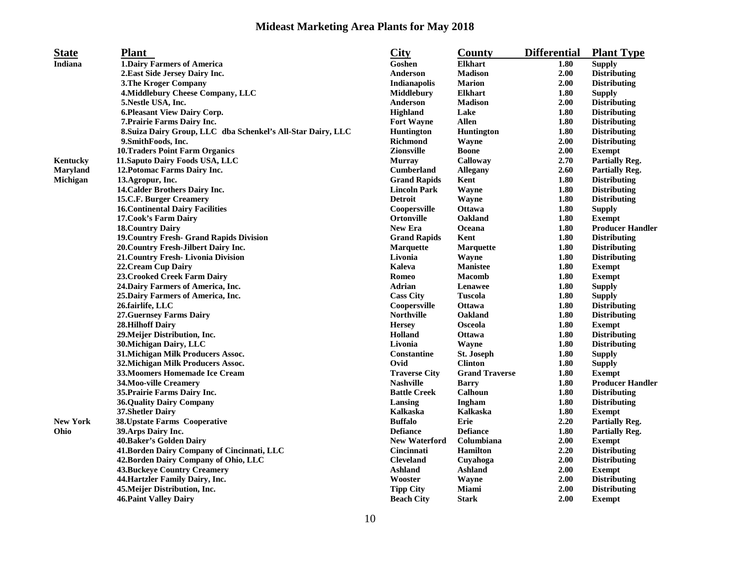## **Mideast Marketing Area Plants for May 2018**

| <b>State</b>    | <b>Plant</b>                                                 | <b>City</b>          | <b>County</b>         | <b>Differential</b> | <b>Plant Type</b>       |
|-----------------|--------------------------------------------------------------|----------------------|-----------------------|---------------------|-------------------------|
| Indiana         | <b>1.Dairy Farmers of America</b>                            | Goshen               | <b>Elkhart</b>        | 1.80                | <b>Supply</b>           |
|                 | 2. East Side Jersey Dairy Inc.                               | Anderson             | <b>Madison</b>        | 2.00                | <b>Distributing</b>     |
|                 | <b>3. The Kroger Company</b>                                 | Indianapolis         | <b>Marion</b>         | 2.00                | <b>Distributing</b>     |
|                 | 4. Middlebury Cheese Company, LLC                            | <b>Middlebury</b>    | <b>Elkhart</b>        | 1.80                | <b>Supply</b>           |
|                 | 5. Nestle USA, Inc.                                          | <b>Anderson</b>      | <b>Madison</b>        | 2.00                | <b>Distributing</b>     |
|                 | 6. Pleasant View Dairy Corp.                                 | <b>Highland</b>      | Lake                  | 1.80                | <b>Distributing</b>     |
|                 | 7. Prairie Farms Dairy Inc.                                  | <b>Fort Wayne</b>    | <b>Allen</b>          | 1.80                | <b>Distributing</b>     |
|                 | 8. Suiza Dairy Group, LLC dba Schenkel's All-Star Dairy, LLC | <b>Huntington</b>    | <b>Huntington</b>     | 1.80                | <b>Distributing</b>     |
|                 | 9. Smith Foods, Inc.                                         | <b>Richmond</b>      | Wayne                 | 2.00                | <b>Distributing</b>     |
|                 | <b>10.Traders Point Farm Organics</b>                        | <b>Zionsville</b>    | <b>Boone</b>          | 2.00                | <b>Exempt</b>           |
| Kentucky        | 11. Saputo Dairy Foods USA, LLC                              | <b>Murray</b>        | Calloway              | 2.70                | <b>Partially Reg.</b>   |
| Maryland        | 12. Potomac Farms Dairy Inc.                                 | <b>Cumberland</b>    | <b>Allegany</b>       | 2.60                | <b>Partially Reg.</b>   |
| Michigan        | 13.Agropur, Inc.                                             | <b>Grand Rapids</b>  | Kent                  | 1.80                | <b>Distributing</b>     |
|                 | 14. Calder Brothers Dairy Inc.                               | <b>Lincoln Park</b>  | Wayne                 | 1.80                | <b>Distributing</b>     |
|                 | 15.C.F. Burger Creamery                                      | <b>Detroit</b>       | <b>Wayne</b>          | 1.80                | <b>Distributing</b>     |
|                 | <b>16. Continental Dairy Facilities</b>                      | Coopersville         | <b>Ottawa</b>         | 1.80                | <b>Supply</b>           |
|                 | 17. Cook's Farm Dairy                                        | Ortonville           | Oakland               | 1.80                | <b>Exempt</b>           |
|                 | <b>18. Country Dairy</b>                                     | <b>New Era</b>       | Oceana                | 1.80                | <b>Producer Handler</b> |
|                 | <b>19. Country Fresh- Grand Rapids Division</b>              | <b>Grand Rapids</b>  | Kent                  | 1.80                | <b>Distributing</b>     |
|                 | 20. Country Fresh-Jilbert Dairy Inc.                         | <b>Marquette</b>     | <b>Marquette</b>      | 1.80                | <b>Distributing</b>     |
|                 | 21. Country Fresh- Livonia Division                          | Livonia              | Wayne                 | 1.80                | <b>Distributing</b>     |
|                 | 22. Cream Cup Dairy                                          | Kaleva               | <b>Manistee</b>       | 1.80                | <b>Exempt</b>           |
|                 | 23. Crooked Creek Farm Dairy                                 | Romeo                | <b>Macomb</b>         | 1.80                | <b>Exempt</b>           |
|                 | 24. Dairy Farmers of America, Inc.                           | Adrian               | Lenawee               | 1.80                | <b>Supply</b>           |
|                 | 25. Dairy Farmers of America, Inc.                           | <b>Cass City</b>     | <b>Tuscola</b>        | 1.80                | <b>Supply</b>           |
|                 | 26.fairlife, LLC                                             | Coopersville         | Ottawa                | 1.80                | <b>Distributing</b>     |
|                 | <b>27. Guernsey Farms Dairy</b>                              | <b>Northville</b>    | Oakland               | 1.80                | <b>Distributing</b>     |
|                 | <b>28.Hilhoff Dairy</b>                                      | <b>Hersey</b>        | Osceola               | 1.80                | <b>Exempt</b>           |
|                 | 29. Meijer Distribution, Inc.                                | Holland              | <b>Ottawa</b>         | 1.80                | <b>Distributing</b>     |
|                 | 30. Michigan Dairy, LLC                                      | Livonia              | Wavne                 | 1.80                | <b>Distributing</b>     |
|                 | 31. Michigan Milk Producers Assoc.                           | Constantine          | <b>St. Joseph</b>     | 1.80                | <b>Supply</b>           |
|                 | 32. Michigan Milk Producers Assoc.                           | Ovid                 | <b>Clinton</b>        | 1.80                | <b>Supply</b>           |
|                 | <b>33. Moomers Homemade Ice Cream</b>                        | <b>Traverse City</b> | <b>Grand Traverse</b> | 1.80                | <b>Exempt</b>           |
|                 | 34. Moo-ville Creamery                                       | <b>Nashville</b>     | <b>Barry</b>          | 1.80                | <b>Producer Handler</b> |
|                 | 35. Prairie Farms Dairy Inc.                                 | <b>Battle Creek</b>  | Calhoun               | 1.80                | <b>Distributing</b>     |
|                 | <b>36.Quality Dairy Company</b>                              | Lansing              | Ingham                | 1.80                | <b>Distributing</b>     |
|                 | 37. Shetler Dairy                                            | <b>Kalkaska</b>      | <b>Kalkaska</b>       | 1.80                | <b>Exempt</b>           |
| <b>New York</b> | <b>38. Upstate Farms Cooperative</b>                         | <b>Buffalo</b>       | Erie                  | 2.20                | <b>Partially Reg.</b>   |
| Ohio            | 39. Arps Dairy Inc.                                          | <b>Defiance</b>      | <b>Defiance</b>       | 1.80                | <b>Partially Reg.</b>   |
|                 | 40. Baker's Golden Dairy                                     | <b>New Waterford</b> | Columbiana            | 2.00                | <b>Exempt</b>           |
|                 | 41.Borden Dairy Company of Cincinnati, LLC                   | Cincinnati           | <b>Hamilton</b>       | 2.20                | <b>Distributing</b>     |
|                 | 42. Borden Dairy Company of Ohio, LLC                        | <b>Cleveland</b>     | Cuyahoga              | 2.00                | <b>Distributing</b>     |
|                 | <b>43. Buckeye Country Creamery</b>                          | <b>Ashland</b>       | <b>Ashland</b>        | 2.00                | <b>Exempt</b>           |
|                 | 44. Hartzler Family Dairy, Inc.                              | Wooster              | Wayne                 | 2.00                | <b>Distributing</b>     |
|                 | 45. Meijer Distribution, Inc.                                | <b>Tipp City</b>     | Miami                 | 2.00                | <b>Distributing</b>     |
|                 | <b>46. Paint Valley Dairy</b>                                | <b>Beach City</b>    | <b>Stark</b>          | 2.00                | <b>Exempt</b>           |